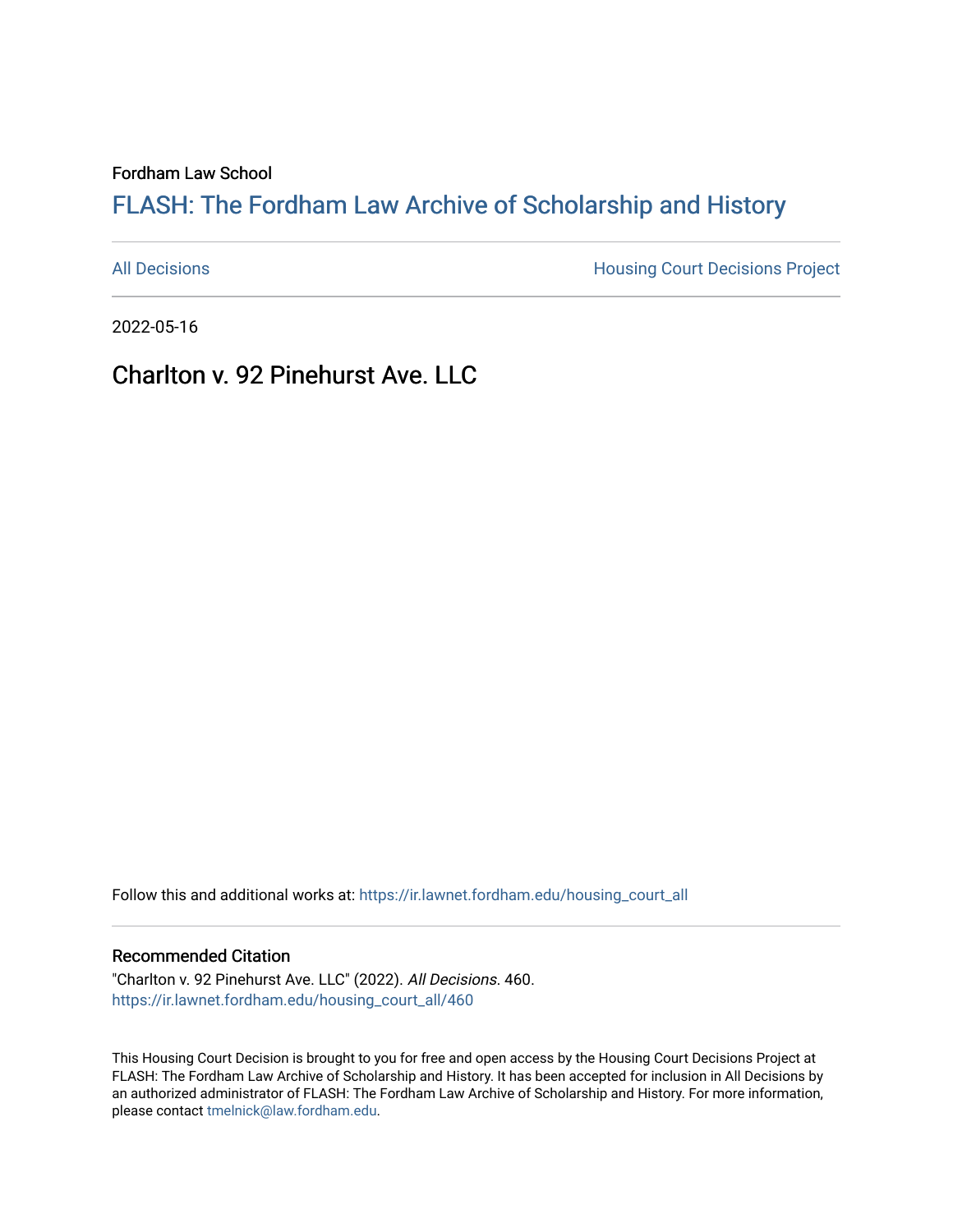Fordham Law School

## FLASH: The For[dham Law Archive of Scholarship and Hist](https://ir.lawnet.fordham.edu/)ory

[All Decisions](https://ir.lawnet.fordham.edu/housing_court_all) **All Decisions All Decisions** Project

2022-05-16

Charlton v. 92 Pinehurst Ave. LLC

Follow this and additional works at: [https://ir.lawnet.fordham.edu/housing\\_court\\_all](https://ir.lawnet.fordham.edu/housing_court_all?utm_source=ir.lawnet.fordham.edu%2Fhousing_court_all%2F460&utm_medium=PDF&utm_campaign=PDFCoverPages)

## Recommended Citation

"Charlton v. 92 Pinehurst Ave. LLC" (2022). All Decisions. 460. [https://ir.lawnet.fordham.edu/housing\\_court\\_all/460](https://ir.lawnet.fordham.edu/housing_court_all/460?utm_source=ir.lawnet.fordham.edu%2Fhousing_court_all%2F460&utm_medium=PDF&utm_campaign=PDFCoverPages)

This Housing Court Decision is brought to you for free and open access by the Housing Court Decisions Project at FLASH: The Fordham Law Archive of Scholarship and History. It has been accepted for inclusion in All Decisions by an authorized administrator of FLASH: The Fordham Law Archive of Scholarship and History. For more information, please contact [tmelnick@law.fordham.edu](mailto:tmelnick@law.fordham.edu).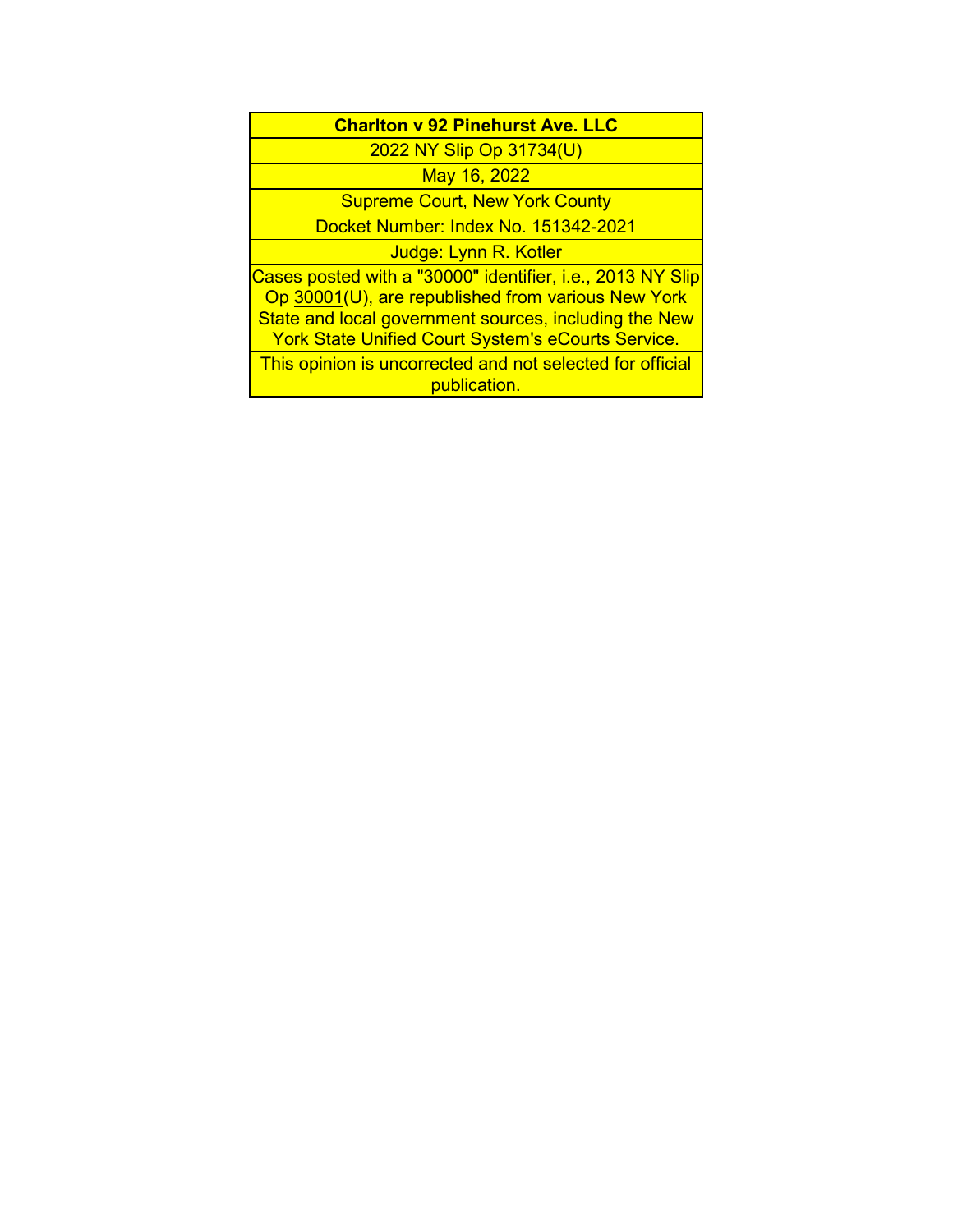| <b>Charlton v 92 Pinehurst Ave. LLC</b>                                                                                                                                                                                                |
|----------------------------------------------------------------------------------------------------------------------------------------------------------------------------------------------------------------------------------------|
| 2022 NY Slip Op 31734(U)                                                                                                                                                                                                               |
| May 16, 2022                                                                                                                                                                                                                           |
| <b>Supreme Court, New York County</b>                                                                                                                                                                                                  |
| Docket Number: Index No. 151342-2021                                                                                                                                                                                                   |
| Judge: Lynn R. Kotler                                                                                                                                                                                                                  |
| Cases posted with a "30000" identifier, i.e., 2013 NY Slip<br>Op 30001(U), are republished from various New York<br>State and local government sources, including the New<br><b>York State Unified Court System's eCourts Service.</b> |
| This opinion is uncorrected and not selected for official<br>publication.                                                                                                                                                              |